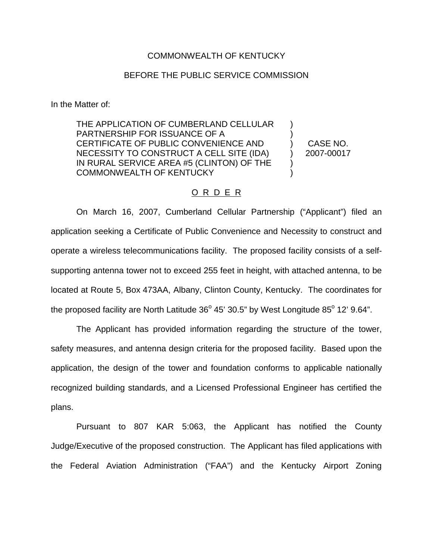## COMMONWEALTH OF KENTUCKY

## BEFORE THE PUBLIC SERVICE COMMISSION

In the Matter of:

THE APPLICATION OF CUMBERLAND CELLULAR PARTNERSHIP FOR ISSUANCE OF A CERTIFICATE OF PUBLIC CONVENIENCE AND NECESSITY TO CONSTRUCT A CELL SITE (IDA) IN RURAL SERVICE AREA #5 (CLINTON) OF THE COMMONWEALTH OF KENTUCKY ) ) ) ) ) )

CASE NO. 2007-00017

## O R D E R

On March 16, 2007, Cumberland Cellular Partnership ("Applicant") filed an application seeking a Certificate of Public Convenience and Necessity to construct and operate a wireless telecommunications facility. The proposed facility consists of a selfsupporting antenna tower not to exceed 255 feet in height, with attached antenna, to be located at Route 5, Box 473AA, Albany, Clinton County, Kentucky. The coordinates for the proposed facility are North Latitude  $36^{\circ}$  45' 30.5" by West Longitude  $85^{\circ}$  12' 9.64".

The Applicant has provided information regarding the structure of the tower, safety measures, and antenna design criteria for the proposed facility. Based upon the application, the design of the tower and foundation conforms to applicable nationally recognized building standards, and a Licensed Professional Engineer has certified the plans.

Pursuant to 807 KAR 5:063, the Applicant has notified the County Judge/Executive of the proposed construction. The Applicant has filed applications with the Federal Aviation Administration ("FAA") and the Kentucky Airport Zoning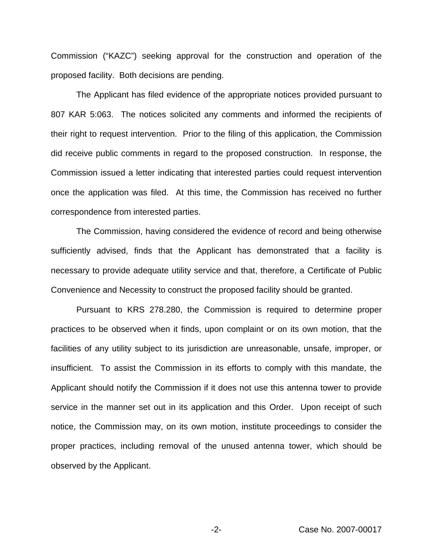Commission ("KAZC") seeking approval for the construction and operation of the proposed facility. Both decisions are pending.

The Applicant has filed evidence of the appropriate notices provided pursuant to 807 KAR 5:063. The notices solicited any comments and informed the recipients of their right to request intervention. Prior to the filing of this application, the Commission did receive public comments in regard to the proposed construction. In response, the Commission issued a letter indicating that interested parties could request intervention once the application was filed. At this time, the Commission has received no further correspondence from interested parties.

The Commission, having considered the evidence of record and being otherwise sufficiently advised, finds that the Applicant has demonstrated that a facility is necessary to provide adequate utility service and that, therefore, a Certificate of Public Convenience and Necessity to construct the proposed facility should be granted.

Pursuant to KRS 278.280, the Commission is required to determine proper practices to be observed when it finds, upon complaint or on its own motion, that the facilities of any utility subject to its jurisdiction are unreasonable, unsafe, improper, or insufficient. To assist the Commission in its efforts to comply with this mandate, the Applicant should notify the Commission if it does not use this antenna tower to provide service in the manner set out in its application and this Order. Upon receipt of such notice, the Commission may, on its own motion, institute proceedings to consider the proper practices, including removal of the unused antenna tower, which should be observed by the Applicant.